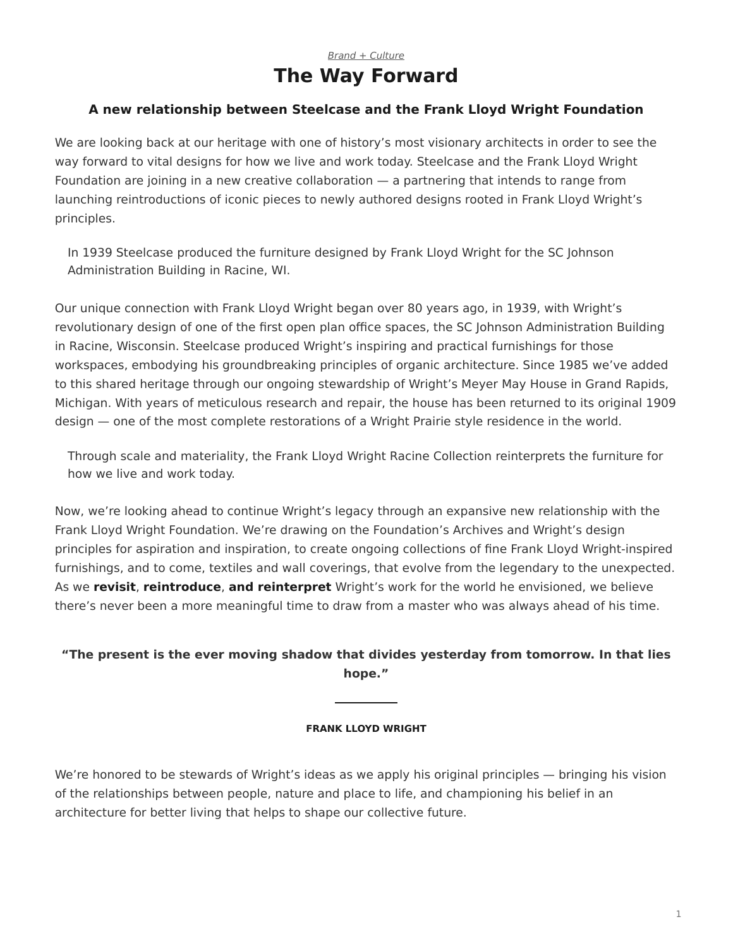## *[Brand + Culture](https://www.steelcase.com/research/topics/brand-culture/)* **The Way Forward**

## <span id="page-0-0"></span>**A new relationship between Steelcase and the Frank Lloyd Wright Foundation**

We are looking back at our heritage with one of history's most visionary architects in order to see the way forward to vital designs for how we live and work today. Steelcase and the Frank Lloyd Wright Foundation are joining in a new creative collaboration — a partnering that intends to range from launching reintroductions of iconic pieces to newly authored designs rooted in Frank Lloyd Wright's principles.

In 1939 Steelcase produced the furniture designed by Frank Lloyd Wright for the SC Johnson Administration Building in Racine, WI.

Our unique connection with Frank Lloyd Wright began over 80 years ago, in 1939, with Wright's revolutionary design of one of the first open plan office spaces, the SC Johnson Administration Building in Racine, Wisconsin. Steelcase produced Wright's inspiring and practical furnishings for those workspaces, embodying his groundbreaking principles of organic architecture. Since 1985 we've added to this shared heritage through our ongoing stewardship of Wright's Meyer May House in Grand Rapids, Michigan. With years of meticulous research and repair, the house has been returned to its original 1909 design — one of the most complete restorations of a Wright Prairie style residence in the world.

Through scale and materiality, the Frank Lloyd Wright Racine Collection reinterprets the furniture for how we live and work today.

Now, we're looking ahead to continue Wright's legacy through an expansive new relationship with the Frank Lloyd Wright Foundation. We're drawing on the Foundation's Archives and Wright's design principles for aspiration and inspiration, to create ongoing collections of fine Frank Lloyd Wright-inspired furnishings, and to come, textiles and wall coverings, that evolve from the legendary to the unexpected. As we **revisit**, **reintroduce**, **and reinterpret** Wright's work for the world he envisioned, we believe there's never been a more meaningful time to draw from a master who was always ahead of his time.

## **"The present is the ever moving shadow that divides yesterday from tomorrow. In that lies hope."**

## **FRANK LLOYD WRIGHT**

We're honored to be stewards of Wright's ideas as we apply his original principles — bringing his vision of the relationships between people, nature and place to life, and championing his belief in an architecture for better living that helps to shape our collective future.